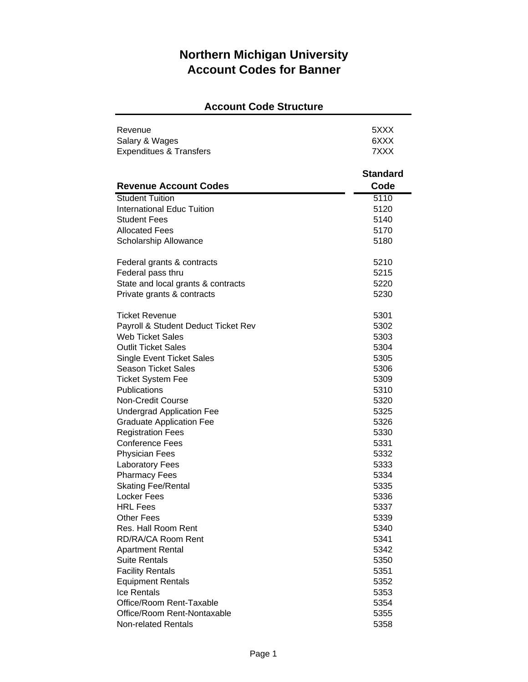## **Northern Michigan University Account Codes for Banner**

## **Account Code Structure**

| Revenue                             | 5XXX            |
|-------------------------------------|-----------------|
| Salary & Wages                      | 6XXX            |
| <b>Expenditues &amp; Transfers</b>  | 7XXX            |
|                                     |                 |
|                                     | <b>Standard</b> |
| <b>Revenue Account Codes</b>        | Code            |
| <b>Student Tuition</b>              | 5110            |
| <b>International Educ Tuition</b>   | 5120            |
| <b>Student Fees</b>                 | 5140            |
| <b>Allocated Fees</b>               | 5170            |
| Scholarship Allowance               | 5180            |
| Federal grants & contracts          | 5210            |
| Federal pass thru                   | 5215            |
| State and local grants & contracts  | 5220            |
| Private grants & contracts          | 5230            |
|                                     |                 |
| <b>Ticket Revenue</b>               | 5301            |
| Payroll & Student Deduct Ticket Rev | 5302            |
| <b>Web Ticket Sales</b>             | 5303            |
| <b>Outlit Ticket Sales</b>          | 5304            |
| <b>Single Event Ticket Sales</b>    | 5305            |
| <b>Season Ticket Sales</b>          | 5306            |
| <b>Ticket System Fee</b>            | 5309            |
| Publications                        | 5310            |
| Non-Credit Course                   | 5320            |
| <b>Undergrad Application Fee</b>    | 5325            |
| <b>Graduate Application Fee</b>     | 5326            |
| <b>Registration Fees</b>            | 5330            |
| <b>Conference Fees</b>              | 5331            |
| <b>Physician Fees</b>               | 5332            |
| <b>Laboratory Fees</b>              | 5333            |
| <b>Pharmacy Fees</b>                | 5334            |
| <b>Skating Fee/Rental</b>           | 5335            |
| Locker Fees                         | 5336            |
| <b>HRL Fees</b>                     | 5337            |
| <b>Other Fees</b>                   | 5339            |
| Res. Hall Room Rent                 | 5340            |
| RD/RA/CA Room Rent                  | 5341            |
| <b>Apartment Rental</b>             | 5342            |
| <b>Suite Rentals</b>                | 5350            |
| <b>Facility Rentals</b>             | 5351            |
| <b>Equipment Rentals</b>            | 5352            |
| <b>Ice Rentals</b>                  | 5353            |
| Office/Room Rent-Taxable            | 5354            |
| Office/Room Rent-Nontaxable         | 5355            |

Non-related Rentals 5358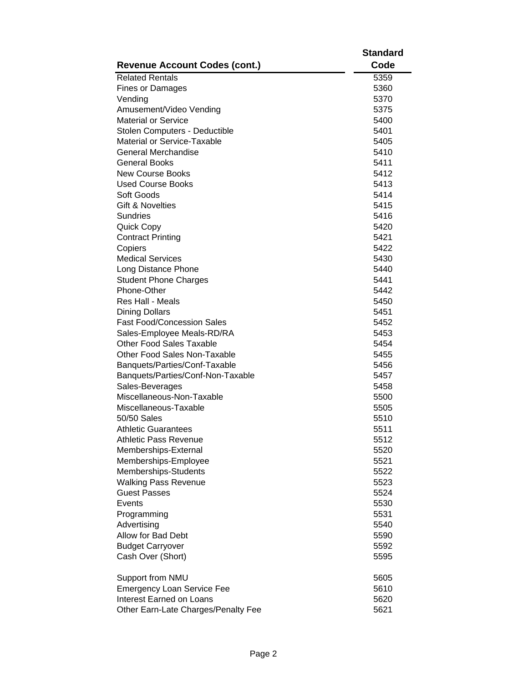|                                              | <b>Standard</b> |
|----------------------------------------------|-----------------|
| <b>Revenue Account Codes (cont.)</b>         | Code            |
| <b>Related Rentals</b>                       | 5359            |
| <b>Fines or Damages</b>                      | 5360            |
| Vending                                      | 5370            |
| Amusement/Video Vending                      | 5375            |
| <b>Material or Service</b>                   | 5400            |
| Stolen Computers - Deductible                | 5401            |
| Material or Service-Taxable                  | 5405            |
| General Merchandise                          | 5410            |
| General Books                                | 5411            |
| <b>New Course Books</b>                      | 5412            |
| <b>Used Course Books</b>                     | 5413            |
| Soft Goods                                   | 5414            |
| <b>Gift &amp; Novelties</b>                  | 5415            |
| Sundries                                     | 5416            |
| <b>Quick Copy</b>                            | 5420            |
| <b>Contract Printing</b>                     | 5421            |
| Copiers                                      | 5422            |
| <b>Medical Services</b>                      | 5430            |
| Long Distance Phone                          | 5440            |
| <b>Student Phone Charges</b>                 | 5441            |
| Phone-Other                                  | 5442            |
| Res Hall - Meals                             | 5450            |
| <b>Dining Dollars</b>                        | 5451            |
| <b>Fast Food/Concession Sales</b>            | 5452            |
| Sales-Employee Meals-RD/RA                   | 5453            |
| Other Food Sales Taxable                     | 5454            |
| Other Food Sales Non-Taxable                 | 5455            |
| Banquets/Parties/Conf-Taxable                | 5456            |
| Banquets/Parties/Conf-Non-Taxable            | 5457            |
|                                              | 5458            |
| Sales-Beverages<br>Miscellaneous-Non-Taxable |                 |
|                                              | 5500            |
| Miscellaneous-Taxable<br>50/50 Sales         | 5505            |
| Athletic Guarantees                          | 5510            |
|                                              | 5511            |
| <b>Athletic Pass Revenue</b>                 | 5512            |
| Memberships-External                         | 5520            |
| Memberships-Employee                         | 5521            |
| Memberships-Students                         | 5522            |
| <b>Walking Pass Revenue</b>                  | 5523            |
| <b>Guest Passes</b>                          | 5524            |
| Events                                       | 5530            |
| Programming                                  | 5531            |
| Advertising                                  | 5540            |
| Allow for Bad Debt                           | 5590            |
| <b>Budget Carryover</b>                      | 5592            |
| Cash Over (Short)                            | 5595            |
| Support from NMU                             | 5605            |
| <b>Emergency Loan Service Fee</b>            | 5610            |
| <b>Interest Earned on Loans</b>              | 5620            |
| Other Earn-Late Charges/Penalty Fee          | 5621            |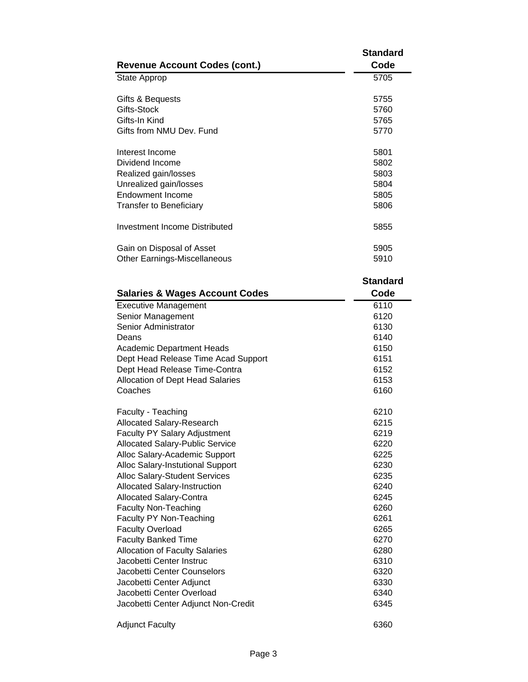| <b>Revenue Account Codes (cont.)</b>                    | <b>Standard</b><br>Code |
|---------------------------------------------------------|-------------------------|
| State Approp                                            | 5705                    |
| Gifts & Bequests                                        | 5755                    |
| Gifts-Stock                                             | 5760                    |
| Gifts-In Kind                                           | 5765                    |
| Gifts from NMU Dev. Fund                                | 5770                    |
|                                                         |                         |
| Interest Income                                         | 5801                    |
| Dividend Income                                         | 5802                    |
| Realized gain/losses                                    | 5803                    |
| Unrealized gain/losses                                  | 5804                    |
| <b>Endowment Income</b>                                 | 5805                    |
| <b>Transfer to Beneficiary</b>                          | 5806                    |
| <b>Investment Income Distributed</b>                    | 5855                    |
| Gain on Disposal of Asset                               | 5905                    |
| <b>Other Earnings-Miscellaneous</b>                     | 5910                    |
|                                                         |                         |
|                                                         | <b>Standard</b>         |
| <b>Salaries &amp; Wages Account Codes</b>               | Code                    |
| <b>Executive Management</b>                             | 6110                    |
| Senior Management                                       | 6120                    |
| Senior Administrator                                    | 6130                    |
| Deans                                                   | 6140                    |
| <b>Academic Department Heads</b>                        | 6150                    |
| Dept Head Release Time Acad Support                     | 6151                    |
| Dept Head Release Time-Contra                           | 6152                    |
| <b>Allocation of Dept Head Salaries</b>                 | 6153                    |
| Coaches                                                 | 6160                    |
| Faculty - Teaching                                      | 6210                    |
| <b>Allocated Salary-Research</b>                        | 6215                    |
| <b>Faculty PY Salary Adjustment</b>                     | 6219                    |
| <b>Allocated Salary-Public Service</b>                  | 6220                    |
| Alloc Salary-Academic Support                           | 6225                    |
| Alloc Salary-Instutional Support                        |                         |
|                                                         |                         |
|                                                         | 6230                    |
| Alloc Salary-Student Services                           | 6235                    |
| <b>Allocated Salary-Instruction</b>                     | 6240                    |
| Allocated Salary-Contra                                 | 6245                    |
| <b>Faculty Non-Teaching</b>                             | 6260                    |
| Faculty PY Non-Teaching                                 | 6261                    |
| <b>Faculty Overload</b>                                 | 6265                    |
| <b>Faculty Banked Time</b>                              | 6270                    |
| <b>Allocation of Faculty Salaries</b>                   | 6280                    |
| Jacobetti Center Instruc                                | 6310                    |
| Jacobetti Center Counselors<br>Jacobetti Center Adjunct | 6320<br>6330            |

Jacobetti Center Overload 6340 Jacobetti Center Adjunct Non-Credit 6345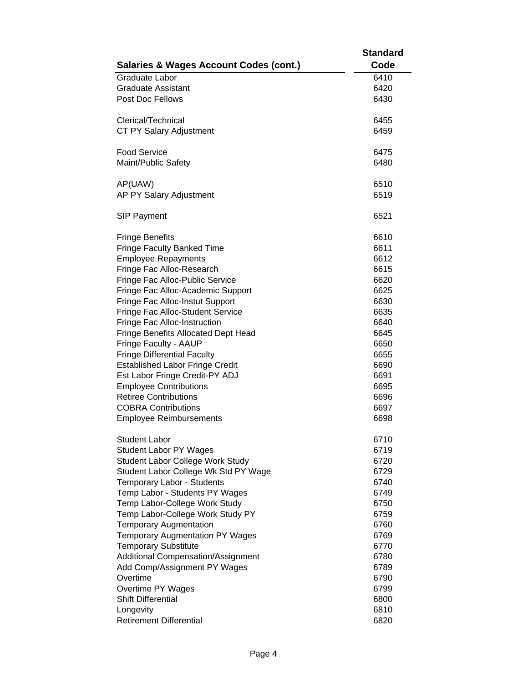|                                                   | <b>Standard</b> |
|---------------------------------------------------|-----------------|
| <b>Salaries &amp; Wages Account Codes (cont.)</b> | Code            |
| <b>Graduate Labor</b>                             | 6410            |
| <b>Graduate Assistant</b>                         | 6420            |
| Post Doc Fellows                                  | 6430            |
|                                                   |                 |
| Clerical/Technical                                | 6455            |
| CT PY Salary Adjustment                           | 6459            |
|                                                   |                 |
| <b>Food Service</b>                               | 6475            |
| Maint/Public Safety                               | 6480            |
|                                                   |                 |
| AP(UAW)                                           | 6510            |
| AP PY Salary Adjustment                           | 6519            |
|                                                   |                 |
| <b>SIP Payment</b>                                | 6521            |
|                                                   |                 |
| <b>Fringe Benefits</b>                            | 6610            |
| <b>Fringe Faculty Banked Time</b>                 | 6611            |
| <b>Employee Repayments</b>                        | 6612            |
| Fringe Fac Alloc-Research                         | 6615            |
| Fringe Fac Alloc-Public Service                   | 6620            |
| Fringe Fac Alloc-Academic Support                 | 6625            |
| Fringe Fac Alloc-Instut Support                   | 6630            |
| Fringe Fac Alloc-Student Service                  | 6635            |
| Fringe Fac Alloc-Instruction                      | 6640            |
| Fringe Benefits Allocated Dept Head               | 6645            |
| Fringe Faculty - AAUP                             | 6650            |
| <b>Fringe Differential Faculty</b>                | 6655            |
| <b>Established Labor Fringe Credit</b>            | 6690            |
| Est Labor Fringe Credit-PY ADJ                    | 6691            |
| <b>Employee Contributions</b>                     | 6695            |
| <b>Retiree Contributions</b>                      | 6696            |
| <b>COBRA Contributions</b>                        | 6697            |
| <b>Employee Reimbursements</b>                    | 6698            |
| <b>Student Labor</b>                              | 6710            |
| <b>Student Labor PY Wages</b>                     | 6719            |
| Student Labor College Work Study                  | 6720            |
| Student Labor College Wk Std PY Wage              | 6729            |
| Temporary Labor - Students                        | 6740            |
| Temp Labor - Students PY Wages                    | 6749            |
| Temp Labor-College Work Study                     | 6750            |
| Temp Labor-College Work Study PY                  | 6759            |
| <b>Temporary Augmentation</b>                     | 6760            |
| <b>Temporary Augmentation PY Wages</b>            | 6769            |
| <b>Temporary Substitute</b>                       | 6770            |
| Additional Compensation/Assignment                | 6780            |
| Add Comp/Assignment PY Wages                      | 6789            |
| Overtime                                          | 6790            |
| Overtime PY Wages                                 | 6799            |
| <b>Shift Differential</b>                         | 6800            |
| Longevity                                         | 6810            |
| <b>Retirement Differential</b>                    | 6820            |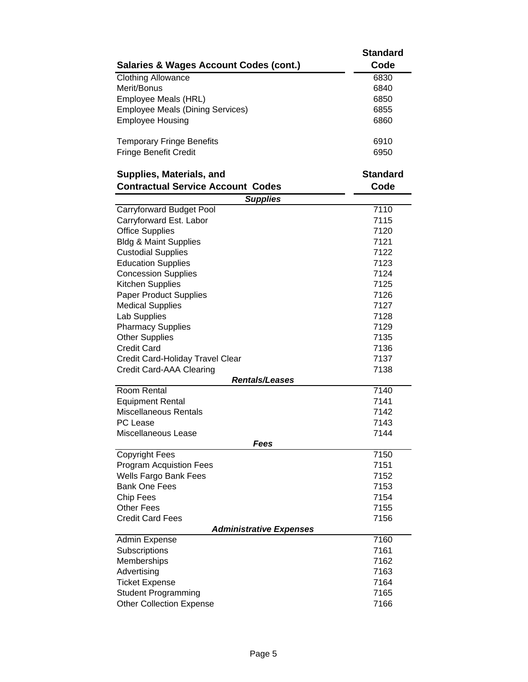|                                                        | <b>Standard</b> |
|--------------------------------------------------------|-----------------|
| <b>Salaries &amp; Wages Account Codes (cont.)</b>      | Code            |
| <b>Clothing Allowance</b>                              | 6830            |
| Merit/Bonus                                            | 6840            |
| Employee Meals (HRL)                                   | 6850            |
| <b>Employee Meals (Dining Services)</b>                | 6855            |
| <b>Employee Housing</b>                                | 6860            |
|                                                        |                 |
| <b>Temporary Fringe Benefits</b>                       | 6910            |
| <b>Fringe Benefit Credit</b>                           | 6950            |
| Supplies, Materials, and                               | <b>Standard</b> |
| <b>Contractual Service Account Codes</b>               | Code            |
| <b>Supplies</b>                                        |                 |
| Carryforward Budget Pool                               | 7110            |
| Carryforward Est. Labor                                | 7115            |
| <b>Office Supplies</b>                                 | 7120            |
| <b>Bldg &amp; Maint Supplies</b>                       | 7121            |
| <b>Custodial Supplies</b>                              | 7122            |
| <b>Education Supplies</b>                              | 7123            |
| <b>Concession Supplies</b>                             | 7124            |
| Kitchen Supplies                                       | 7125            |
| <b>Paper Product Supplies</b>                          | 7126            |
| <b>Medical Supplies</b>                                | 7127            |
| Lab Supplies                                           | 7128            |
| <b>Pharmacy Supplies</b>                               | 7129            |
| <b>Other Supplies</b>                                  | 7135            |
| <b>Credit Card</b>                                     | 7136            |
| Credit Card-Holiday Travel Clear                       | 7137            |
| Credit Card-AAA Clearing                               | 7138            |
| <b>Rentals/Leases</b>                                  |                 |
| Room Rental                                            | 7140            |
| <b>Equipment Rental</b>                                | 7141            |
| <b>Miscellaneous Rentals</b>                           | 7142            |
| <b>PC</b> Lease                                        | 7143            |
| Miscellaneous Lease                                    | 7144            |
| Fees                                                   |                 |
| <b>Copyright Fees</b>                                  | 7150            |
| <b>Program Acquistion Fees</b>                         | 7151            |
| Wells Fargo Bank Fees                                  | 7152            |
| <b>Bank One Fees</b>                                   | 7153            |
| Chip Fees                                              | 7154            |
| <b>Other Fees</b>                                      | 7155            |
| <b>Credit Card Fees</b>                                | 7156            |
| <b>Administrative Expenses</b><br><b>Admin Expense</b> | 7160            |
| Subscriptions                                          | 7161            |
| Memberships                                            | 7162            |
| Advertising                                            | 7163            |
| <b>Ticket Expense</b>                                  | 7164            |
| <b>Student Programming</b>                             | 7165            |
| <b>Other Collection Expense</b>                        | 7166            |
|                                                        |                 |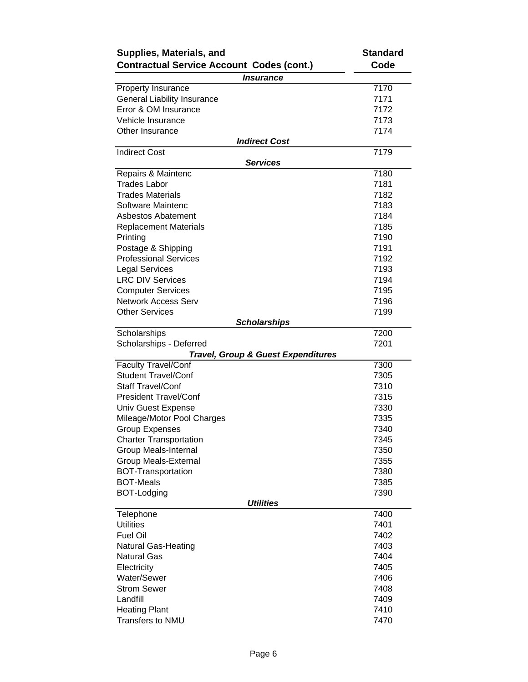| Supplies, Materials, and                                 | <b>Standard</b> |
|----------------------------------------------------------|-----------------|
| <b>Contractual Service Account Codes (cont.)</b>         | Code            |
| <i><b>Insurance</b></i>                                  |                 |
| Property Insurance                                       | 7170            |
| <b>General Liability Insurance</b>                       | 7171            |
| Error & OM Insurance                                     | 7172            |
| Vehicle Insurance                                        | 7173            |
| Other Insurance                                          | 7174            |
| <b>Indirect Cost</b>                                     |                 |
| <b>Indirect Cost</b><br><b>Services</b>                  | 7179            |
| Repairs & Maintenc                                       | 7180            |
| <b>Trades Labor</b>                                      | 7181            |
| <b>Trades Materials</b>                                  | 7182            |
| Software Maintenc                                        | 7183            |
| Asbestos Abatement                                       | 7184            |
| <b>Replacement Materials</b>                             | 7185            |
| Printing                                                 | 7190            |
| Postage & Shipping                                       | 7191            |
| <b>Professional Services</b>                             | 7192            |
| <b>Legal Services</b>                                    | 7193            |
| <b>LRC DIV Services</b>                                  | 7194            |
| <b>Computer Services</b>                                 | 7195            |
| <b>Network Access Serv</b>                               | 7196            |
| <b>Other Services</b>                                    | 7199            |
| Scholarships                                             |                 |
| Scholarships                                             | 7200            |
| Scholarships - Deferred                                  | 7201            |
| <b>Travel, Group &amp; Guest Expenditures</b>            |                 |
| <b>Faculty Travel/Conf</b><br><b>Student Travel/Conf</b> | 7300            |
| <b>Staff Travel/Conf</b>                                 | 7305<br>7310    |
| <b>President Travel/Conf</b>                             | 7315            |
| Univ Guest Expense                                       | 7330            |
| Mileage/Motor Pool Charges                               | 7335            |
| <b>Group Expenses</b>                                    | 7340            |
| <b>Charter Transportation</b>                            | 7345            |
| Group Meals-Internal                                     | 7350            |
| <b>Group Meals-External</b>                              | 7355            |
| <b>BOT-Transportation</b>                                | 7380            |
| <b>BOT-Meals</b>                                         | 7385            |
| <b>BOT-Lodging</b>                                       | 7390            |
| <b>Utilities</b>                                         |                 |
| Telephone                                                | 7400            |
| <b>Utilities</b>                                         | 7401            |
| <b>Fuel Oil</b>                                          | 7402            |
| <b>Natural Gas-Heating</b>                               | 7403            |
| <b>Natural Gas</b>                                       | 7404            |
| Electricity                                              | 7405            |
| <b>Water/Sewer</b>                                       | 7406            |
| <b>Strom Sewer</b>                                       | 7408            |
| Landfill                                                 | 7409            |
| <b>Heating Plant</b>                                     | 7410            |
| Transfers to NMU                                         | 7470            |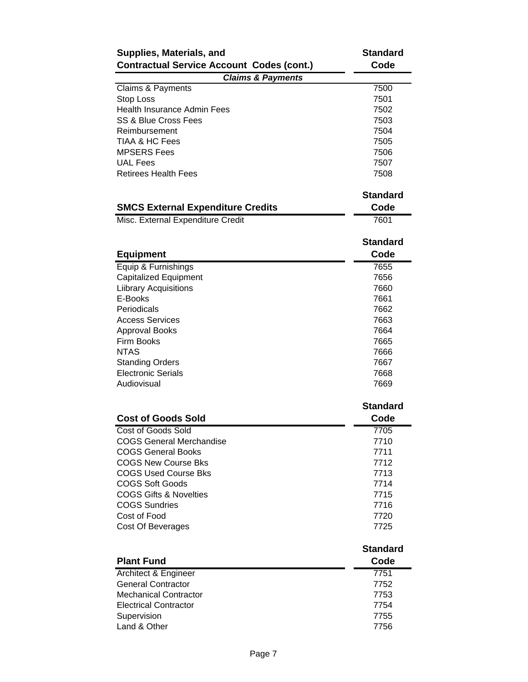| Supplies, Materials, and                         | <b>Standard</b> |
|--------------------------------------------------|-----------------|
| <b>Contractual Service Account Codes (cont.)</b> | Code            |
| <b>Claims &amp; Payments</b>                     |                 |
| Claims & Payments                                | 7500            |
| Stop Loss                                        | 7501            |
| <b>Health Insurance Admin Fees</b>               | 7502            |
| <b>SS &amp; Blue Cross Fees</b>                  | 7503            |
| Reimbursement                                    | 7504            |
| TIAA & HC Fees                                   | 7505            |
| <b>MPSERS Fees</b>                               | 7506            |
| <b>UAL Fees</b>                                  | 7507            |
| <b>Retirees Health Fees</b>                      | 7508            |
|                                                  | <b>Standard</b> |
| <b>SMCS External Expenditure Credits</b>         | Code            |
| Misc. External Expenditure Credit                | 7601            |
|                                                  | <b>Standard</b> |
| <b>Equipment</b>                                 | Code            |
| Equip & Furnishings                              | 7655            |
| <b>Capitalized Equipment</b>                     | 7656            |
| <b>Liibrary Acquisitions</b>                     | 7660            |
| E-Books                                          | 7661            |
| Periodicals                                      | 7662            |
| <b>Access Services</b>                           | 7663            |
| <b>Approval Books</b>                            | 7664            |
| Firm Books                                       | 7665            |
| <b>NTAS</b>                                      | 7666            |
| <b>Standing Orders</b>                           | 7667            |
| <b>Electronic Serials</b>                        | 7668            |
| Audiovisual                                      | 7669            |
|                                                  | <b>Standard</b> |
| <b>Cost of Goods Sold</b>                        | Code            |
| <b>Cost of Goods Sold</b>                        | 7705            |
| <b>COGS General Merchandise</b>                  | 7710            |
| <b>COGS General Books</b>                        | 7711            |
| <b>COGS New Course Bks</b>                       | 7712            |
| <b>COGS Used Course Bks</b>                      | 7713            |
| <b>COGS Soft Goods</b>                           | 7714            |
| <b>COGS Gifts &amp; Novelties</b>                | 7715            |
| <b>COGS Sundries</b>                             | 7716            |
| Cost of Food                                     | 7720            |
| Cost Of Beverages                                | 7725            |
|                                                  | <b>Standard</b> |
| <b>Plant Fund</b>                                | Code            |
| Architect & Engineer                             | 7751            |
| <b>General Contractor</b>                        | 7752            |
| <b>Mechanical Contractor</b>                     | 7753            |
| <b>Electrical Contractor</b>                     | 7754            |
| Supervision                                      | 7755            |
| Land & Other                                     | 7756            |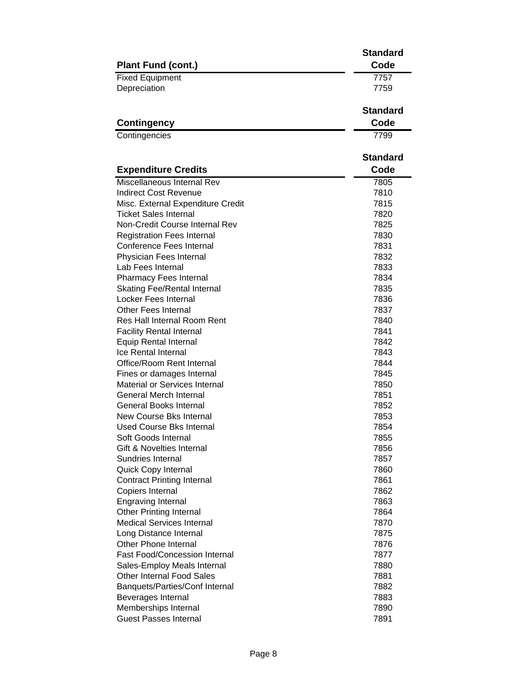|                                      | <b>Standard</b>         |
|--------------------------------------|-------------------------|
| <b>Plant Fund (cont.)</b>            | Code                    |
| <b>Fixed Equipment</b>               | 7757                    |
| Depreciation                         | 7759                    |
|                                      | <b>Standard</b>         |
| <b>Contingency</b>                   | Code                    |
| Contingencies                        | 7799                    |
|                                      |                         |
| <b>Expenditure Credits</b>           | <b>Standard</b><br>Code |
| Miscellaneous Internal Rev           | 7805                    |
| <b>Indirect Cost Revenue</b>         | 7810                    |
| Misc. External Expenditure Credit    | 7815                    |
| <b>Ticket Sales Internal</b>         | 7820                    |
| Non-Credit Course Internal Rev       | 7825                    |
| <b>Registration Fees Internal</b>    | 7830                    |
| <b>Conference Fees Internal</b>      | 7831                    |
| Physician Fees Internal              | 7832                    |
| Lab Fees Internal                    | 7833                    |
| Pharmacy Fees Internal               | 7834                    |
| <b>Skating Fee/Rental Internal</b>   | 7835                    |
| Locker Fees Internal                 | 7836                    |
| Other Fees Internal                  | 7837                    |
| <b>Res Hall Internal Room Rent</b>   | 7840                    |
| <b>Facility Rental Internal</b>      | 7841                    |
| <b>Equip Rental Internal</b>         | 7842                    |
| Ice Rental Internal                  | 7843                    |
| Office/Room Rent Internal            | 7844                    |
| Fines or damages Internal            | 7845                    |
| <b>Material or Services Internal</b> | 7850                    |
| <b>General Merch Internal</b>        | 7851                    |
| <b>General Books Internal</b>        | 7852                    |
| <b>New Course Bks Internal</b>       | 7853                    |
| <b>Used Course Bks Internal</b>      | 7854                    |
| Soft Goods Internal                  | 7855                    |
| Gift & Novelties Internal            | 7856                    |
| Sundries Internal                    | 7857                    |
| Quick Copy Internal                  | 7860                    |
| <b>Contract Printing Internal</b>    | 7861                    |
| Copiers Internal                     | 7862                    |
| <b>Engraving Internal</b>            | 7863                    |
| <b>Other Printing Internal</b>       | 7864                    |
| <b>Medical Services Internal</b>     | 7870                    |
| Long Distance Internal               | 7875                    |
| Other Phone Internal                 | 7876                    |
| <b>Fast Food/Concession Internal</b> | 7877                    |
| Sales-Employ Meals Internal          | 7880                    |
| <b>Other Internal Food Sales</b>     | 7881                    |
| Banquets/Parties/Conf Internal       | 7882                    |
| Beverages Internal                   | 7883                    |
| Memberships Internal                 | 7890                    |
| <b>Guest Passes Internal</b>         | 7891                    |
|                                      |                         |